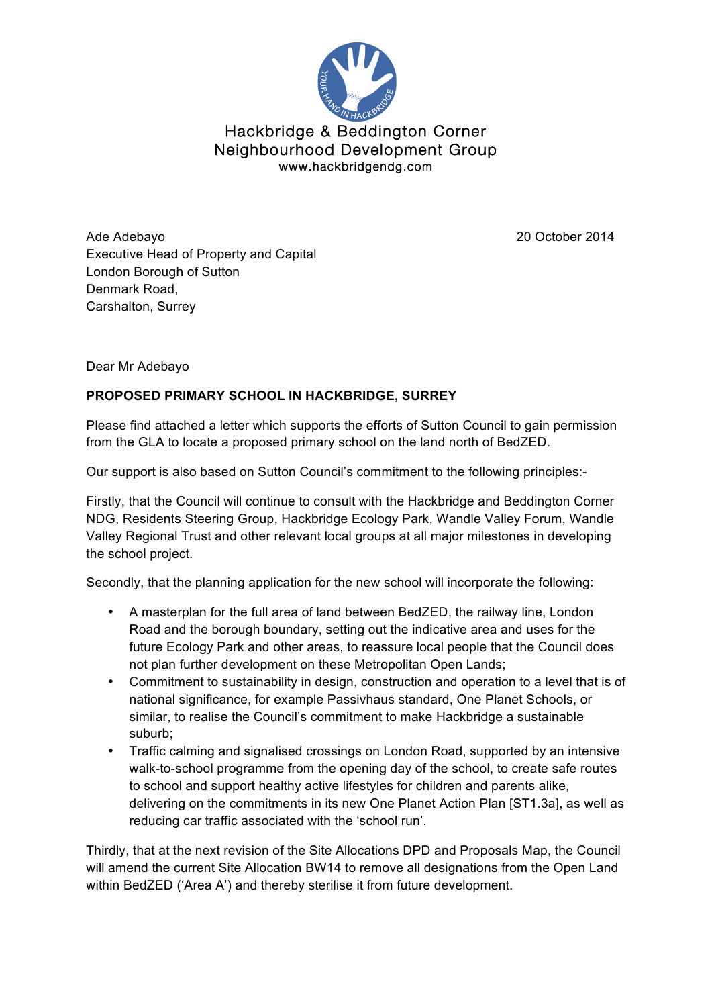

## Hackbridge & Beddington Corner Neighbourhood Development Group www.hackbridgendg.com

Ade Adebayo 20 October 2014 Executive Head of Property and Capital London Borough of Sutton Denmark Road, Carshalton, Surrey

Dear Mr Adebayo

## **PROPOSED PRIMARY SCHOOL IN HACKBRIDGE, SURREY**

Please find attached a letter which supports the efforts of Sutton Council to gain permission from the GLA to locate a proposed primary school on the land north of BedZED.

Our support is also based on Sutton Council's commitment to the following principles:-

Firstly, that the Council will continue to consult with the Hackbridge and Beddington Corner NDG, Residents Steering Group, Hackbridge Ecology Park, Wandle Valley Forum, Wandle Valley Regional Trust and other relevant local groups at all major milestones in developing the school project.

Secondly, that the planning application for the new school will incorporate the following:

- A masterplan for the full area of land between BedZED, the railway line, London Road and the borough boundary, setting out the indicative area and uses for the future Ecology Park and other areas, to reassure local people that the Council does not plan further development on these Metropolitan Open Lands;
- Commitment to sustainability in design, construction and operation to a level that is of national significance, for example Passivhaus standard, One Planet Schools, or similar, to realise the Council's commitment to make Hackbridge a sustainable suburb;
- Traffic calming and signalised crossings on London Road, supported by an intensive walk-to-school programme from the opening day of the school, to create safe routes to school and support healthy active lifestyles for children and parents alike, delivering on the commitments in its new One Planet Action Plan [ST1.3a], as well as reducing car traffic associated with the 'school run'.

Thirdly, that at the next revision of the Site Allocations DPD and Proposals Map, the Council will amend the current Site Allocation BW14 to remove all designations from the Open Land within BedZED ('Area A') and thereby sterilise it from future development.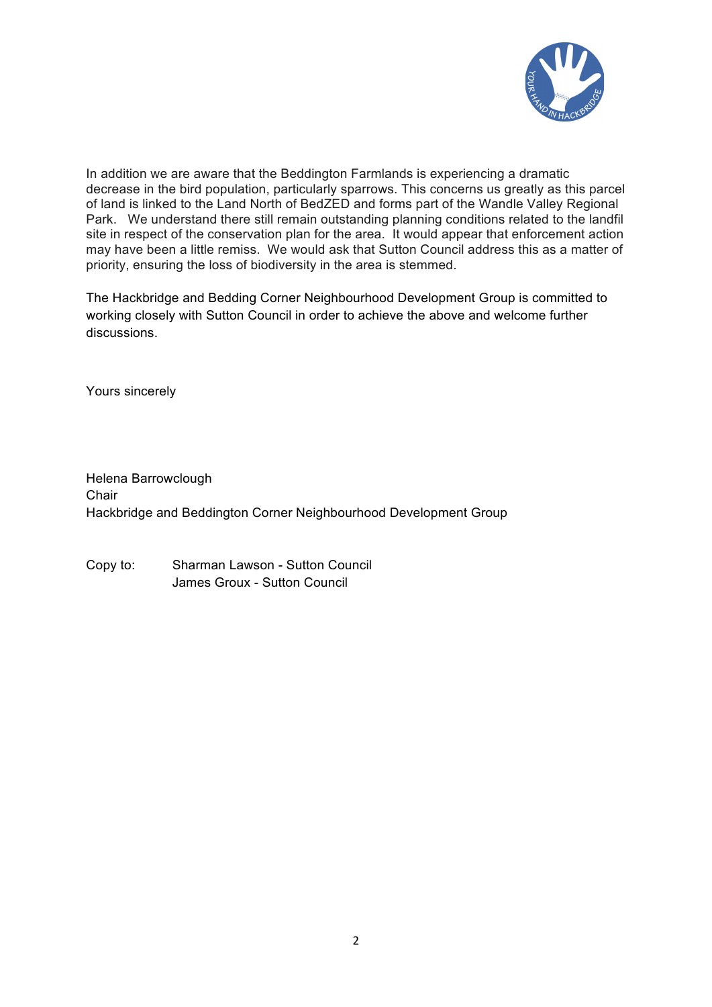

In addition we are aware that the Beddington Farmlands is experiencing a dramatic decrease in the bird population, particularly sparrows. This concerns us greatly as this parcel of land is linked to the Land North of BedZED and forms part of the Wandle Valley Regional Park. We understand there still remain outstanding planning conditions related to the landfil site in respect of the conservation plan for the area. It would appear that enforcement action may have been a little remiss. We would ask that Sutton Council address this as a matter of priority, ensuring the loss of biodiversity in the area is stemmed.

The Hackbridge and Bedding Corner Neighbourhood Development Group is committed to working closely with Sutton Council in order to achieve the above and welcome further discussions.

Yours sincerely

Helena Barrowclough **Chair** Hackbridge and Beddington Corner Neighbourhood Development Group

Copy to: Sharman Lawson - Sutton Council James Groux - Sutton Council